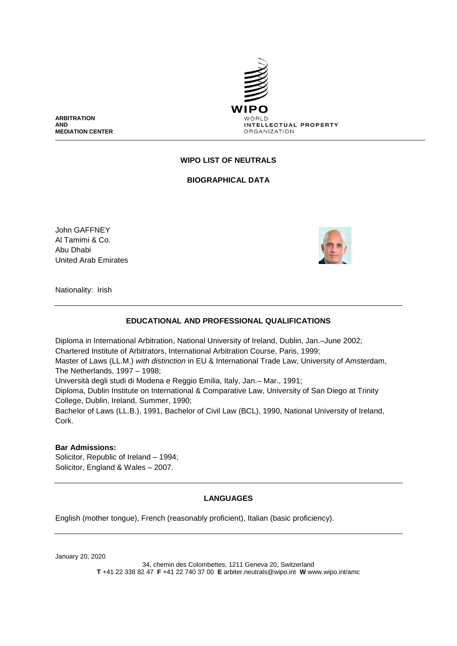

**ARBITRATION AND MEDIATION CENTER**

# **WIPO LIST OF NEUTRALS**

**BIOGRAPHICAL DATA**

John GAFFNEY Al Tamimi & Co. Abu Dhabi United Arab Emirates



Nationality: Irish

### **EDUCATIONAL AND PROFESSIONAL QUALIFICATIONS**

Diploma in International Arbitration, National University of Ireland, Dublin, Jan.–June 2002; Chartered Institute of Arbitrators, International Arbitration Course, Paris, 1999; Master of Laws (LL.M.) *with distinction* in EU & International Trade Law, University of Amsterdam, The Netherlands, 1997 – 1998; Università degli studi di Modena e Reggio Emilia, Italy, Jan.– Mar., 1991; Diploma, Dublin Institute on International & Comparative Law, University of San Diego at Trinity College, Dublin, Ireland, Summer, 1990; Bachelor of Laws (LL.B.), 1991, Bachelor of Civil Law (BCL), 1990, National University of Ireland, Cork.

#### **Bar Admissions:**

Solicitor, Republic of Ireland – 1994; Solicitor, England & Wales – 2007.

### **LANGUAGES**

English (mother tongue), French (reasonably proficient), Italian (basic proficiency).

January 20, 2020

34, chemin des Colombettes, 1211 Geneva 20, Switzerland **T** +41 22 338 82 47 **F** +41 22 740 37 00 **E** arbiter.neutrals@wipo.int **W** www.wipo.int/amc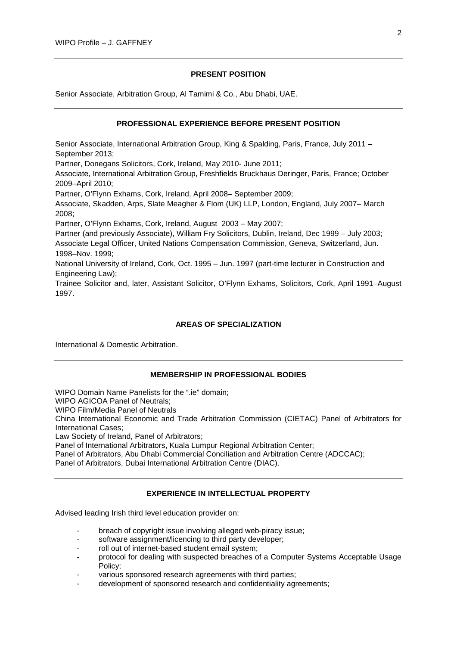## **PRESENT POSITION**

Senior Associate, Arbitration Group, Al Tamimi & Co., Abu Dhabi, UAE.

## **PROFESSIONAL EXPERIENCE BEFORE PRESENT POSITION**

Senior Associate, International Arbitration Group, King & Spalding, Paris, France, July 2011 – September 2013;

Partner, Donegans Solicitors, Cork, Ireland, May 2010- June 2011;

Associate, International Arbitration Group, Freshfields Bruckhaus Deringer, Paris, France; October 2009–April 2010;

Partner, O'Flynn Exhams, Cork, Ireland, April 2008– September 2009;

Associate, Skadden, Arps, Slate Meagher & Flom (UK) LLP, London, England, July 2007– March 2008;

Partner, O'Flynn Exhams, Cork, Ireland, August 2003 – May 2007;

Partner (and previously Associate), William Fry Solicitors, Dublin, Ireland, Dec 1999 – July 2003; Associate Legal Officer, United Nations Compensation Commission, Geneva, Switzerland, Jun. 1998–Nov. 1999;

National University of Ireland, Cork, Oct. 1995 – Jun. 1997 (part-time lecturer in Construction and Engineering Law);

Trainee Solicitor and, later, Assistant Solicitor, O'Flynn Exhams, Solicitors, Cork, April 1991–August 1997.

## **AREAS OF SPECIALIZATION**

International & Domestic Arbitration.

#### **MEMBERSHIP IN PROFESSIONAL BODIES**

WIPO Domain Name Panelists for the ".ie" domain;

WIPO AGICOA Panel of Neutrals;

WIPO Film/Media Panel of Neutrals

China International Economic and Trade Arbitration Commission (CIETAC) Panel of Arbitrators for International Cases;

Law Society of Ireland, Panel of Arbitrators;

Panel of International Arbitrators, Kuala Lumpur Regional Arbitration Center;

Panel of Arbitrators, Abu Dhabi Commercial Conciliation and Arbitration Centre (ADCCAC);

Panel of Arbitrators, Dubai International Arbitration Centre (DIAC).

### **EXPERIENCE IN INTELLECTUAL PROPERTY**

Advised leading Irish third level education provider on:

- breach of copyright issue involving alleged web-piracy issue;
- software assignment/licencing to third party developer;
- roll out of internet-based student email system;
- protocol for dealing with suspected breaches of a Computer Systems Acceptable Usage Policy;
- various sponsored research agreements with third parties;
- development of sponsored research and confidentiality agreements;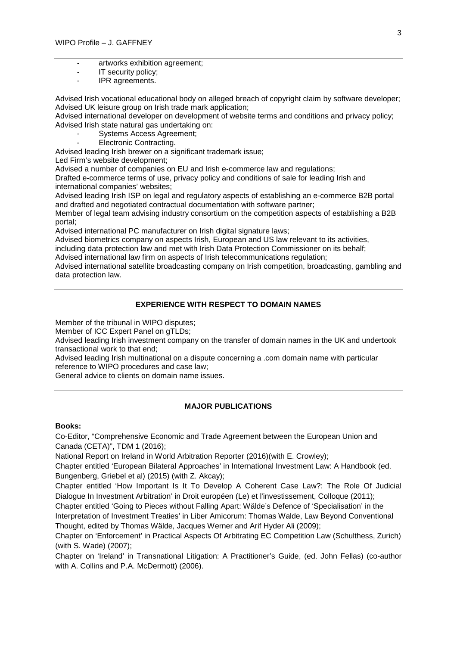- artworks exhibition agreement;
- IT security policy;
- IPR agreements.

Advised Irish vocational educational body on alleged breach of copyright claim by software developer; Advised UK leisure group on Irish trade mark application;

Advised international developer on development of website terms and conditions and privacy policy; Advised Irish state natural gas undertaking on:

- Systems Access Agreement;
- Electronic Contracting.

Advised leading Irish brewer on a significant trademark issue;

Led Firm's website development;

Advised a number of companies on EU and Irish e-commerce law and regulations;

Drafted e-commerce terms of use, privacy policy and conditions of sale for leading Irish and international companies' websites;

Advised leading Irish ISP on legal and regulatory aspects of establishing an e-commerce B2B portal and drafted and negotiated contractual documentation with software partner;

Member of legal team advising industry consortium on the competition aspects of establishing a B2B portal;

Advised international PC manufacturer on Irish digital signature laws;

Advised biometrics company on aspects Irish, European and US law relevant to its activities,

including data protection law and met with Irish Data Protection Commissioner on its behalf;

Advised international law firm on aspects of Irish telecommunications regulation;

Advised international satellite broadcasting company on Irish competition, broadcasting, gambling and data protection law.

## **EXPERIENCE WITH RESPECT TO DOMAIN NAMES**

Member of the tribunal in WIPO disputes;

Member of ICC Expert Panel on gTLDs;

Advised leading Irish investment company on the transfer of domain names in the UK and undertook transactional work to that end;

Advised leading Irish multinational on a dispute concerning a .com domain name with particular reference to WIPO procedures and case law;

General advice to clients on domain name issues.

### **MAJOR PUBLICATIONS**

#### **Books:**

Co-Editor, "Comprehensive Economic and Trade Agreement between the European Union and Canada (CETA)", TDM 1 (2016);

National Report on Ireland in World Arbitration Reporter (2016)(with E. Crowley);

Chapter entitled 'European Bilateral Approaches' in International Investment Law: A Handbook (ed. Bungenberg, Griebel et al) (2015) (with Z. Akcay);

Chapter entitled 'How Important Is It To Develop A Coherent Case Law?: The Role Of Judicial Dialogue In Investment Arbitration' in Droit européen (Le) et l'investissement, Colloque (2011);

Chapter entitled 'Going to Pieces without Falling Apart: Wälde's Defence of 'Specialisation' in the Interpretation of Investment Treaties' in Liber Amicorum: Thomas Walde, Law Beyond Conventional Thought, edited by Thomas Wälde, Jacques Werner and Arif Hyder Ali (2009);

Chapter on 'Enforcement' in Practical Aspects Of Arbitrating EC Competition Law (Schulthess, Zurich) (with S. Wade) (2007);

Chapter on 'Ireland' in Transnational Litigation: A Practitioner's Guide, (ed. John Fellas) (co-author with A. Collins and P.A. McDermott) (2006).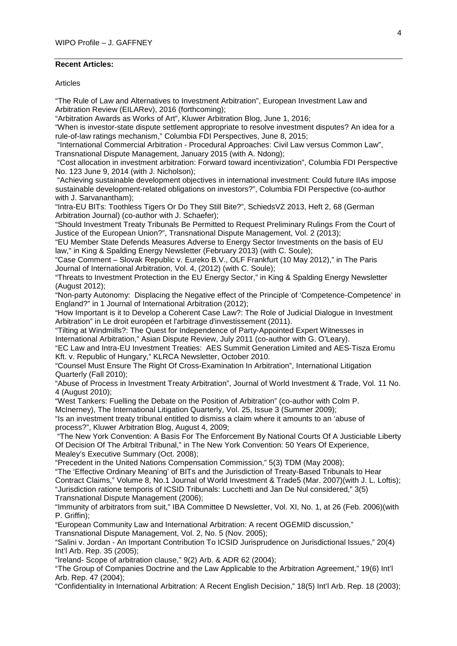## **Recent Articles:**

#### **Articles**

"The Rule of Law and Alternatives to Investment Arbitration", European Investment Law and Arbitration Review (EILARev), 2016 (forthcoming);

"Arbitration Awards as Works of Art", Kluwer Arbitration Blog, June 1, 2016;

"When is investor-state dispute settlement appropriate to resolve investment disputes? An idea for a rule-of-law ratings mechanism," Columbia FDI Perspectives, June 8, 2015;

"International Commercial Arbitration - Procedural Approaches: Civil Law versus Common Law", Transnational Dispute Management, January 2015 (with A. Ndong);

"Cost allocation in investment arbitration: Forward toward incentivization", Columbia FDI Perspective No. 123 June 9, 2014 (with J. Nicholson);

"Achieving sustainable development objectives in international investment: Could future IIAs impose sustainable development-related obligations on investors?", Columbia FDI Perspective (co-author with J. Sarvanantham);

"Intra-EU BITs: Toothless Tigers Or Do They Still Bite?", SchiedsVZ 2013, Heft 2, 68 (German Arbitration Journal) (co-author with J. Schaefer);

"Should Investment Treaty Tribunals Be Permitted to Request Preliminary Rulings From the Court of Justice of the European Union?", Transnational Dispute Management, Vol. 2 (2013);

"EU Member State Defends Measures Adverse to Energy Sector Investments on the basis of EU law," in King & Spalding Energy Newsletter (February 2013) (with C. Soule);

"Case Comment – Slovak Republic v. Eureko B.V., OLF Frankfurt (10 May 2012)," in The Paris Journal of International Arbitration, Vol. 4, (2012) (with C. Soule);

"Threats to Investment Protection in the EU Energy Sector," in King & Spalding Energy Newsletter (August 2012);

"Non-party Autonomy: Displacing the Negative effect of the Principle of 'Competence-Competence' in England?" in 1 Journal of International Arbitration (2012);

"How Important is it to Develop a Coherent Case Law?: The Role of Judicial Dialogue in Investment Arbitration" in Le droit européen et l'arbitrage d'investissement (2011).

"Tilting at Windmills?: The Quest for Independence of Party-Appointed Expert Witnesses in International Arbitration," Asian Dispute Review, July 2011 (co-author with G. O'Leary).

"EC Law and Intra-EU Investment Treaties: AES Summit Generation Limited and AES-Tisza Eromu Kft. v. Republic of Hungary," KLRCA Newsletter, October 2010.

"Counsel Must Ensure The Right Of Cross-Examination In Arbitration", International Litigation Quarterly (Fall 2010);

"Abuse of Process in Investment Treaty Arbitration", Journal of World Investment & Trade, Vol. 11 No. 4 (August 2010);

"West Tankers: Fuelling the Debate on the Position of Arbitration" (co-author with Colm P.

McInerney), The International Litigation Quarterly, Vol. 25, Issue 3 (Summer 2009);

"Is an investment treaty tribunal entitled to dismiss a claim where it amounts to an 'abuse of process?", Kluwer Arbitration Blog, August 4, 2009;

"The New York Convention: A Basis For The Enforcement By National Courts Of A Justiciable Liberty Of Decision Of The Arbitral Tribunal," in The New York Convention: 50 Years Of Experience, Mealey's Executive Summary (Oct. 2008);

"Precedent in the United Nations Compensation Commission," 5(3) TDM (May 2008);

"The 'Effective Ordinary Meaning' of BITs and the Jurisdiction of Treaty-Based Tribunals to Hear

Contract Claims," Volume 8, No.1 Journal of World Investment & Trade5 (Mar. 2007)(with J. L. Loftis); "Jurisdiction ratione temporis of ICSID Tribunals: Lucchetti and Jan De Nul considered," 3(5)

Transnational Dispute Management (2006);

"Immunity of arbitrators from suit," IBA Committee D Newsletter, Vol. XI, No. 1, at 26 (Feb. 2006)(with P. Griffin);

"European Community Law and International Arbitration: A recent OGEMID discussion,"

Transnational Dispute Management, Vol. 2, No. 5 (Nov. 2005);

"Salini v. Jordan - An Important Contribution To ICSID Jurisprudence on Jurisdictional Issues," 20(4) Int'l Arb. Rep. 35 (2005);

"Ireland- Scope of arbitration clause," 9(2) Arb. & ADR 62 (2004);

"The Group of Companies Doctrine and the Law Applicable to the Arbitration Agreement," 19(6) Int'l Arb. Rep. 47 (2004);

"Confidentiality in International Arbitration: A Recent English Decision," 18(5) Int'l Arb. Rep. 18 (2003);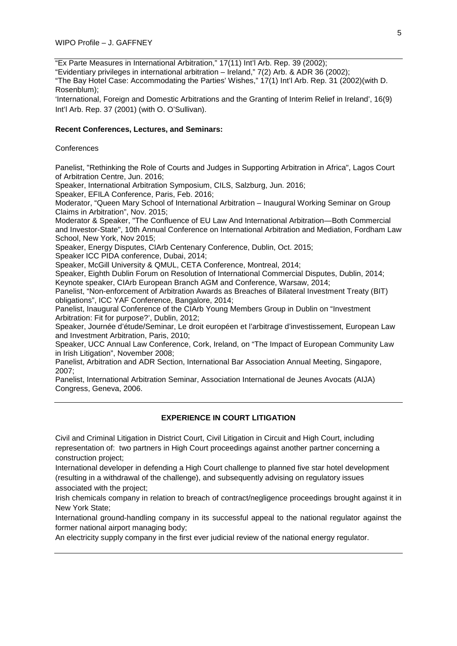"Ex Parte Measures in International Arbitration," 17(11) Int'l Arb. Rep. 39 (2002);

"Evidentiary privileges in international arbitration – Ireland," 7(2) Arb. & ADR 36 (2002);

"The Bay Hotel Case: Accommodating the Parties' Wishes," 17(1) Int'l Arb. Rep. 31 (2002)(with D. Rosenblum);

'International, Foreign and Domestic Arbitrations and the Granting of Interim Relief in Ireland', 16(9) Int'l Arb. Rep. 37 (2001) (with O. O'Sullivan).

#### **Recent Conferences, Lectures, and Seminars:**

#### **Conferences**

Panelist, "Rethinking the Role of Courts and Judges in Supporting Arbitration in Africa", Lagos Court of Arbitration Centre, Jun. 2016;

Speaker, International Arbitration Symposium, CILS, Salzburg, Jun. 2016;

Speaker, EFILA Conference, Paris, Feb. 2016;

Moderator, "Queen Mary School of International Arbitration – Inaugural Working Seminar on Group Claims in Arbitration", Nov. 2015;

Moderator & Speaker, "The Confluence of EU Law And International Arbitration—Both Commercial and Investor-State", 10th Annual Conference on International Arbitration and Mediation, Fordham Law School, New York, Nov 2015;

Speaker, Energy Disputes, CIArb Centenary Conference, Dublin, Oct. 2015;

Speaker ICC PIDA conference, Dubai, 2014;

Speaker, McGill University & QMUL, CETA Conference, Montreal, 2014;

Speaker, Eighth Dublin Forum on Resolution of International Commercial Disputes, Dublin, 2014; Keynote speaker, CIArb European Branch AGM and Conference, Warsaw, 2014;

Panelist, "Non-enforcement of Arbitration Awards as Breaches of Bilateral Investment Treaty (BIT) obligations", ICC YAF Conference, Bangalore, 2014;

Panelist, Inaugural Conference of the CIArb Young Members Group in Dublin on "Investment Arbitration: Fit for purpose?', Dublin, 2012;

Speaker, Journée d'étude/Seminar, Le droit européen et l'arbitrage d'investissement, European Law and Investment Arbitration, Paris, 2010;

Speaker, UCC Annual Law Conference, Cork, Ireland, on "The Impact of European Community Law in Irish Litigation", November 2008;

Panelist, Arbitration and ADR Section, International Bar Association Annual Meeting, Singapore, 2007;

Panelist, International Arbitration Seminar, Association International de Jeunes Avocats (AIJA) Congress, Geneva, 2006.

# **EXPERIENCE IN COURT LITIGATION**

Civil and Criminal Litigation in District Court, Civil Litigation in Circuit and High Court, including representation of: two partners in High Court proceedings against another partner concerning a construction project;

International developer in defending a High Court challenge to planned five star hotel development (resulting in a withdrawal of the challenge), and subsequently advising on regulatory issues associated with the project;

Irish chemicals company in relation to breach of contract/negligence proceedings brought against it in New York State;

International ground-handling company in its successful appeal to the national regulator against the former national airport managing body;

An electricity supply company in the first ever judicial review of the national energy regulator.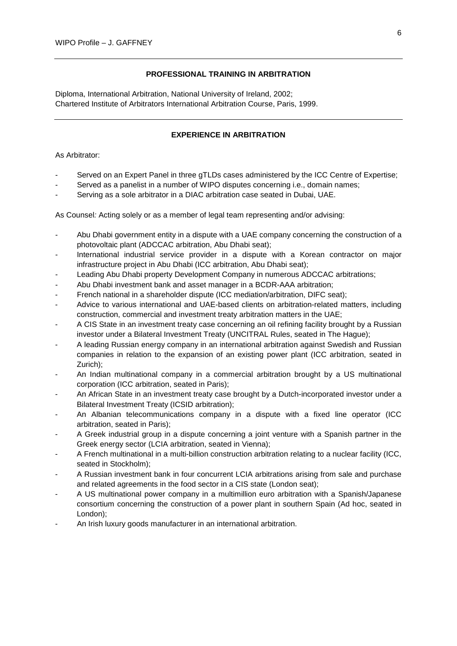## **PROFESSIONAL TRAINING IN ARBITRATION**

Diploma, International Arbitration, National University of Ireland, 2002; Chartered Institute of Arbitrators International Arbitration Course, Paris, 1999.

## **EXPERIENCE IN ARBITRATION**

### As Arbitrator:

- Served on an Expert Panel in three gTLDs cases administered by the ICC Centre of Expertise;
- Served as a panelist in a number of WIPO disputes concerning i.e., domain names;
- Serving as a sole arbitrator in a DIAC arbitration case seated in Dubai, UAE.

As Counsel*:* Acting solely or as a member of legal team representing and/or advising:

- Abu Dhabi government entity in a dispute with a UAE company concerning the construction of a photovoltaic plant (ADCCAC arbitration, Abu Dhabi seat);
- International industrial service provider in a dispute with a Korean contractor on major infrastructure project in Abu Dhabi (ICC arbitration, Abu Dhabi seat);
- Leading Abu Dhabi property Development Company in numerous ADCCAC arbitrations;
- Abu Dhabi investment bank and asset manager in a BCDR-AAA arbitration;
- French national in a shareholder dispute (ICC mediation/arbitration, DIFC seat);
- Advice to various international and UAE-based clients on arbitration-related matters, including construction, commercial and investment treaty arbitration matters in the UAE;
- A CIS State in an investment treaty case concerning an oil refining facility brought by a Russian investor under a Bilateral Investment Treaty (UNCITRAL Rules, seated in The Hague);
- A leading Russian energy company in an international arbitration against Swedish and Russian companies in relation to the expansion of an existing power plant (ICC arbitration, seated in Zurich);
- An Indian multinational company in a commercial arbitration brought by a US multinational corporation (ICC arbitration, seated in Paris);
- An African State in an investment treaty case brought by a Dutch-incorporated investor under a Bilateral Investment Treaty (ICSID arbitration);
- An Albanian telecommunications company in a dispute with a fixed line operator (ICC arbitration, seated in Paris);
- A Greek industrial group in a dispute concerning a joint venture with a Spanish partner in the Greek energy sector (LCIA arbitration, seated in Vienna);
- A French multinational in a multi-billion construction arbitration relating to a nuclear facility (ICC, seated in Stockholm);
- A Russian investment bank in four concurrent LCIA arbitrations arising from sale and purchase and related agreements in the food sector in a CIS state (London seat);
- A US multinational power company in a multimillion euro arbitration with a Spanish/Japanese consortium concerning the construction of a power plant in southern Spain (Ad hoc, seated in London);
- An Irish luxury goods manufacturer in an international arbitration.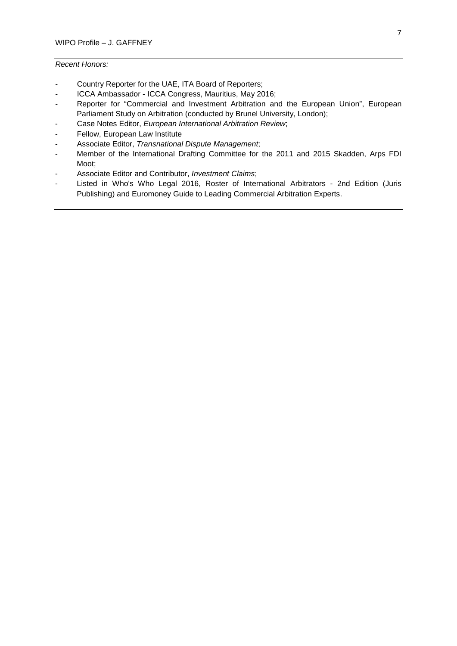# *Recent Honors:*

- Country Reporter for the UAE, ITA Board of Reporters;
- ICCA Ambassador ICCA Congress, Mauritius, May 2016;
- Reporter for "Commercial and Investment Arbitration and the European Union", European Parliament Study on Arbitration (conducted by Brunel University, London);
- Case Notes Editor, *European International Arbitration Review*;
- Fellow, European Law Institute
- Associate Editor, *Transnational Dispute Management*;
- Member of the International Drafting Committee for the 2011 and 2015 Skadden, Arps FDI Moot;
- Associate Editor and Contributor, *Investment Claims*;
- Listed in Who's Who Legal 2016, Roster of International Arbitrators 2nd Edition (Juris Publishing) and Euromoney Guide to Leading Commercial Arbitration Experts.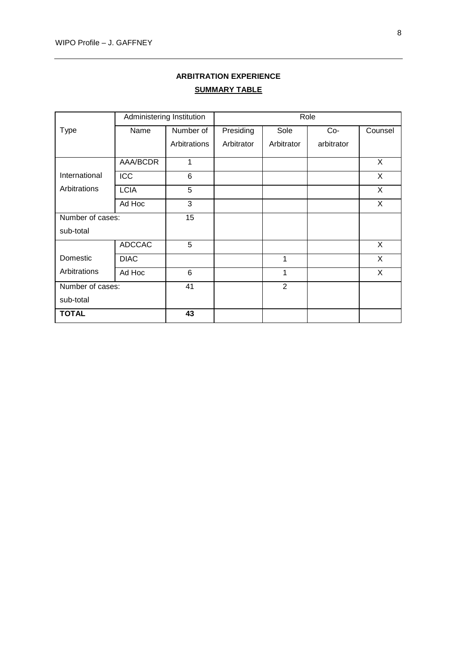# **ARBITRATION EXPERIENCE SUMMARY TABLE**

|                  | Administering Institution |                 | Role       |                |            |         |
|------------------|---------------------------|-----------------|------------|----------------|------------|---------|
| <b>Type</b>      | Name                      | Number of       | Presiding  | Sole           | $Co-$      | Counsel |
|                  |                           | Arbitrations    | Arbitrator | Arbitrator     | arbitrator |         |
|                  | AAA/BCDR                  | 1               |            |                |            | X       |
| International    | ICC                       | 6               |            |                |            | X       |
| Arbitrations     | <b>LCIA</b>               | 5               |            |                |            | X       |
|                  | Ad Hoc                    | 3               |            |                |            | X       |
| Number of cases: |                           | 15 <sub>1</sub> |            |                |            |         |
| sub-total        |                           |                 |            |                |            |         |
|                  | <b>ADCCAC</b>             | 5               |            |                |            | X       |
| Domestic         | <b>DIAC</b>               |                 |            | 1              |            | X       |
| Arbitrations     | Ad Hoc                    | 6               |            | 1              |            | X       |
| Number of cases: |                           | 41              |            | $\overline{2}$ |            |         |
| sub-total        |                           |                 |            |                |            |         |
| <b>TOTAL</b>     |                           | 43              |            |                |            |         |